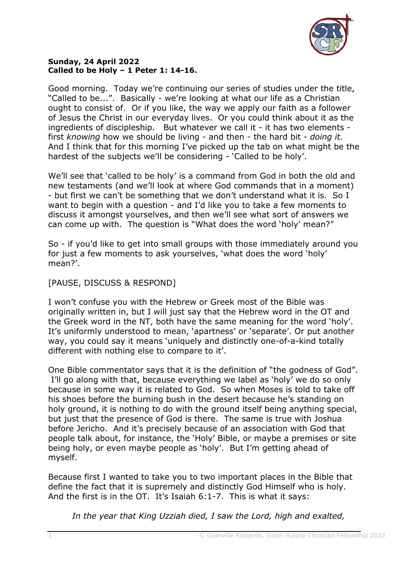

## **Sunday, 24 April 2022 Called to be Holy – 1 Peter 1: 14-16.**

Good morning. Today we're continuing our series of studies under the title, "Called to be...". Basically - we're looking at what our life as a Christian ought to consist of. Or if you like, the way we apply our faith as a follower of Jesus the Christ in our everyday lives. Or you could think about it as the ingredients of discipleship. But whatever we call it - it has two elements first *knowing* how we should be living - and then - the hard bit - *doing it.*  And I think that for this morning I've picked up the tab on what might be the hardest of the subjects we'll be considering - 'Called to be holy'.

We'll see that 'called to be holy' is a command from God in both the old and new testaments (and we'll look at where God commands that in a moment) - but first we can't be something that we don't understand what it is. So I want to begin with a question - and I'd like you to take a few moments to discuss it amongst yourselves, and then we'll see what sort of answers we can come up with. The question is "What does the word 'holy' mean?"

So - if you'd like to get into small groups with those immediately around you for just a few moments to ask yourselves, 'what does the word 'holy' mean?'.

## [PAUSE, DISCUSS & RESPOND]

I won't confuse you with the Hebrew or Greek most of the Bible was originally written in, but I will just say that the Hebrew word in the OT and the Greek word in the NT, both have the same meaning for the word 'holy'. It's uniformly understood to mean, 'apartness' or 'separate'. Or put another way, you could say it means 'uniquely and distinctly one-of-a-kind totally different with nothing else to compare to it'.

One Bible commentator says that it is the definition of "the godness of God". I'll go along with that, because everything we label as 'holy' we do so only because in some way it is related to God. So when Moses is told to take off his shoes before the burning bush in the desert because he's standing on holy ground, it is nothing to do with the ground itself being anything special, but just that the presence of God is there. The same is true with Joshua before Jericho. And it's precisely because of an association with God that people talk about, for instance, the 'Holy' Bible, or maybe a premises or site being holy, or even maybe people as 'holy'. But I'm getting ahead of myself.

Because first I wanted to take you to two important places in the Bible that define the fact that it is supremely and distinctly God Himself who is holy. And the first is in the OT. It's Isaiah 6:1-7. This is what it says:

*In the year that King Uzziah died, I saw the Lord, high and exalted,*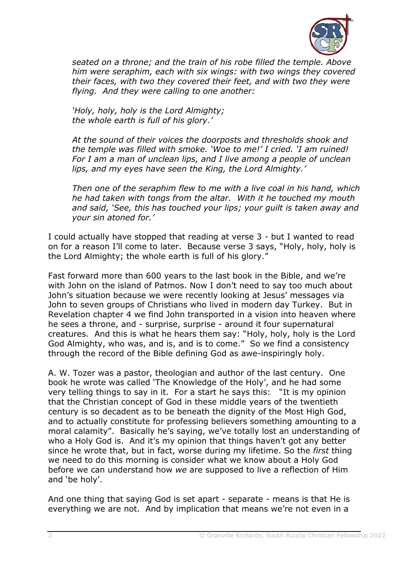

*seated on a throne; and the train of his robe filled the temple. Above him were seraphim, each with six wings: with two wings they covered their faces, with two they covered their feet, and with two they were flying. And they were calling to one another:*

*'Holy, holy, holy is the Lord Almighty; the whole earth is full of his glory.'*

*At the sound of their voices the doorposts and thresholds shook and the temple was filled with smoke. 'Woe to me!' I cried. 'I am ruined! For I am a man of unclean lips, and I live among a people of unclean lips, and my eyes have seen the King, the Lord Almighty.'*

*Then one of the seraphim flew to me with a live coal in his hand, which he had taken with tongs from the altar. With it he touched my mouth and said, 'See, this has touched your lips; your guilt is taken away and your sin atoned for.'*

I could actually have stopped that reading at verse 3 - but I wanted to read on for a reason I'll come to later. Because verse 3 says, "Holy, holy, holy is the Lord Almighty; the whole earth is full of his glory."

Fast forward more than 600 years to the last book in the Bible, and we're with John on the island of Patmos. Now I don't need to say too much about John's situation because we were recently looking at Jesus' messages via John to seven groups of Christians who lived in modern day Turkey. But in Revelation chapter 4 we find John transported in a vision into heaven where he sees a throne, and - surprise, surprise - around it four supernatural creatures. And this is what he hears them say: "Holy, holy, holy is the Lord God Almighty, who was, and is, and is to come." So we find a consistency through the record of the Bible defining God as awe-inspiringly holy.

A. W. Tozer was a pastor, theologian and author of the last century. One book he wrote was called 'The Knowledge of the Holy', and he had some very telling things to say in it. For a start he says this: "It is my opinion that the Christian concept of God in these middle years of the twentieth century is so decadent as to be beneath the dignity of the Most High God, and to actually constitute for professing believers something amounting to a moral calamity". Basically he's saying, we've totally lost an understanding of who a Holy God is. And it's my opinion that things haven't got any better since he wrote that, but in fact, worse during my lifetime. So the *first* thing we need to do this morning is consider what we know about a Holy God before we can understand how *we* are supposed to live a reflection of Him and 'be holy'.

And one thing that saying God is set apart - separate - means is that He is everything we are not. And by implication that means we're not even in a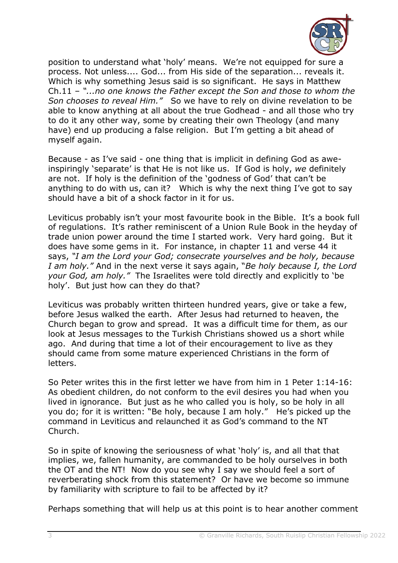

position to understand what 'holy' means. We're not equipped for sure a process. Not unless.... God... from His side of the separation... reveals it. Which is why something Jesus said is so significant. He says in Matthew Ch.11 – *"...no one knows the Father except the Son and those to whom the Son chooses to reveal Him."* So we have to rely on divine revelation to be able to know anything at all about the true Godhead - and all those who try to do it any other way, some by creating their own Theology (and many have) end up producing a false religion. But I'm getting a bit ahead of myself again.

Because - as I've said - one thing that is implicit in defining God as aweinspiringly 'separate' is that He is not like us. If God is holy, *we* definitely are not. If holy is the definition of the 'godness of God' that can't be anything to do with us, can it? Which is why the next thing I've got to say should have a bit of a shock factor in it for us.

Leviticus probably isn't your most favourite book in the Bible. It's a book full of regulations. It's rather reminiscent of a Union Rule Book in the heyday of trade union power around the time I started work. Very hard going. But it does have some gems in it. For instance, in chapter 11 and verse 44 it says, *"I am the Lord your God; consecrate yourselves and be holy, because I am holy."* And in the next verse it says again, "*Be holy because I, the Lord your God, am holy."* The Israelites were told directly and explicitly to 'be holy'. But just how can they do that?

Leviticus was probably written thirteen hundred years, give or take a few, before Jesus walked the earth. After Jesus had returned to heaven, the Church began to grow and spread. It was a difficult time for them, as our look at Jesus messages to the Turkish Christians showed us a short while ago. And during that time a lot of their encouragement to live as they should came from some mature experienced Christians in the form of letters.

So Peter writes this in the first letter we have from him in 1 Peter 1:14-16: As obedient children, do not conform to the evil desires you had when you lived in ignorance. But just as he who called you is holy, so be holy in all you do; for it is written: "Be holy, because I am holy." He's picked up the command in Leviticus and relaunched it as God's command to the NT Church.

So in spite of knowing the seriousness of what 'holy' is, and all that that implies, we, fallen humanity, are commanded to be holy ourselves in both the OT and the NT! Now do you see why I say we should feel a sort of reverberating shock from this statement? Or have we become so immune by familiarity with scripture to fail to be affected by it?

Perhaps something that will help us at this point is to hear another comment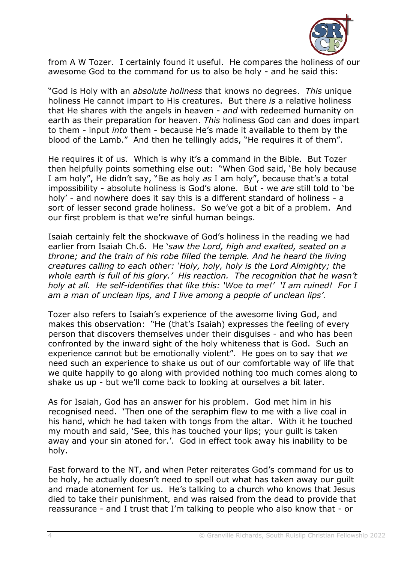

from A W Tozer. I certainly found it useful. He compares the holiness of our awesome God to the command for us to also be holy - and he said this:

"God is Holy with an *absolute holiness* that knows no degrees. *This* unique holiness He cannot impart to His creatures. But there *is* a relative holiness that He shares with the angels in heaven - *and* with redeemed humanity on earth as their preparation for heaven. *This* holiness God can and does impart to them - input *into* them - because He's made it available to them by the blood of the Lamb." And then he tellingly adds, "He requires it of them".

He requires it of us. Which is why it's a command in the Bible. But Tozer then helpfully points something else out: "When God said, 'Be holy because I am holy", He didn't say, "Be as holy *as* I am holy", because that's a total impossibility - absolute holiness is God's alone. But - we *are* still told to 'be holy' - and nowhere does it say this is a different standard of holiness - a sort of lesser second grade holiness. So we've got a bit of a problem. And our first problem is that we're sinful human beings.

Isaiah certainly felt the shockwave of God's holiness in the reading we had earlier from Isaiah Ch.6. He '*saw the Lord, high and exalted, seated on a throne; and the train of his robe filled the temple. And he heard the living creatures calling to each other: 'Holy, holy, holy is the Lord Almighty; the whole earth is full of his glory.' His reaction. The recognition that he wasn't holy at all. He self-identifies that like this: 'Woe to me!' 'I am ruined! For I am a man of unclean lips, and I live among a people of unclean lips'.*

Tozer also refers to Isaiah's experience of the awesome living God, and makes this observation: "He (that's Isaiah) expresses the feeling of every person that discovers themselves under their disguises - and who has been confronted by the inward sight of the holy whiteness that is God. Such an experience cannot but be emotionally violent". He goes on to say that *we* need such an experience to shake us out of our comfortable way of life that we quite happily to go along with provided nothing too much comes along to shake us up - but we'll come back to looking at ourselves a bit later.

As for Isaiah, God has an answer for his problem. God met him in his recognised need. 'Then one of the seraphim flew to me with a live coal in his hand, which he had taken with tongs from the altar. With it he touched my mouth and said, 'See, this has touched your lips; your guilt is taken away and your sin atoned for.'. God in effect took away his inability to be holy.

Fast forward to the NT, and when Peter reiterates God's command for us to be holy, he actually doesn't need to spell out what has taken away our guilt and made atonement for us. He's talking to a church who knows that Jesus died to take their punishment, and was raised from the dead to provide that reassurance - and I trust that I'm talking to people who also know that - or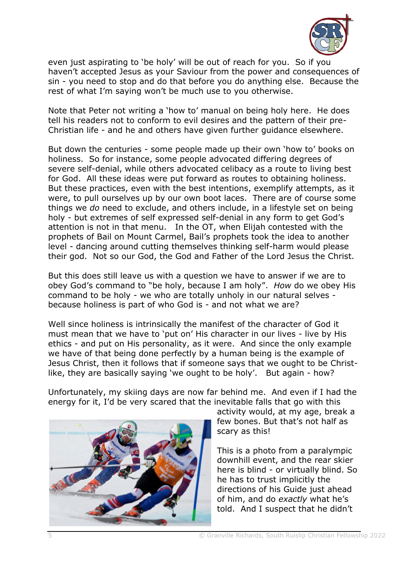

even just aspirating to 'be holy' will be out of reach for you. So if you haven't accepted Jesus as your Saviour from the power and consequences of sin - you need to stop and do that before you do anything else. Because the rest of what I'm saying won't be much use to you otherwise.

Note that Peter not writing a 'how to' manual on being holy here. He does tell his readers not to conform to evil desires and the pattern of their pre-Christian life - and he and others have given further guidance elsewhere.

But down the centuries - some people made up their own 'how to' books on holiness. So for instance, some people advocated differing degrees of severe self-denial, while others advocated celibacy as a route to living best for God. All these ideas were put forward as routes to obtaining holiness. But these practices, even with the best intentions, exemplify attempts, as it were, to pull ourselves up by our own boot laces. There are of course some things we *do* need to exclude, and others include, in a lifestyle set on being holy - but extremes of self expressed self-denial in any form to get God's attention is not in that menu. In the OT, when Elijah contested with the prophets of Bail on Mount Carmel, Bail's prophets took the idea to another level - dancing around cutting themselves thinking self-harm would please their god. Not so our God, the God and Father of the Lord Jesus the Christ.

But this does still leave us with a question we have to answer if we are to obey God's command to "be holy, because I am holy". *How* do we obey His command to be holy - we who are totally unholy in our natural selves because holiness is part of who God is - and not what we are?

Well since holiness is intrinsically the manifest of the character of God it must mean that we have to 'put on' His character in our lives - live by His ethics - and put on His personality, as it were. And since the only example we have of that being done perfectly by a human being is the example of Jesus Christ, then it follows that if someone says that we ought to be Christlike, they are basically saying 'we ought to be holy'. But again - how?

Unfortunately, my skiing days are now far behind me. And even if I had the energy for it, I'd be very scared that the inevitable falls that go with this



activity would, at my age, break a few bones. But that's not half as scary as this!

This is a photo from a paralympic downhill event, and the rear skier here is blind - or virtually blind. So he has to trust implicitly the directions of his Guide just ahead of him, and do *exactly* what he's told. And I suspect that he didn't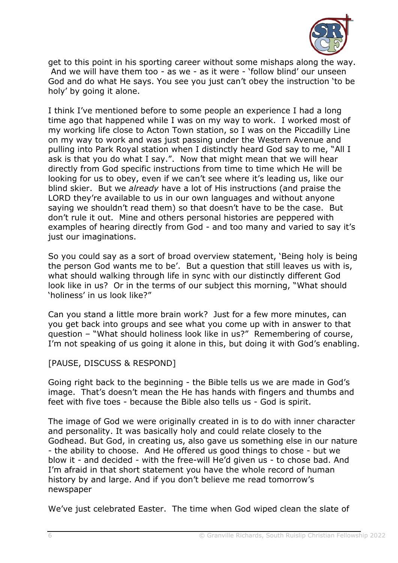

get to this point in his sporting career without some mishaps along the way. And we will have them too - as we - as it were - 'follow blind' our unseen God and do what He says. You see you just can't obey the instruction 'to be holy' by going it alone.

I think I've mentioned before to some people an experience I had a long time ago that happened while I was on my way to work. I worked most of my working life close to Acton Town station, so I was on the Piccadilly Line on my way to work and was just passing under the Western Avenue and pulling into Park Royal station when I distinctly heard God say to me, "All I ask is that you do what I say.". Now that might mean that we will hear directly from God specific instructions from time to time which He will be looking for us to obey, even if we can't see where it's leading us, like our blind skier. But we *already* have a lot of His instructions (and praise the LORD they're available to us in our own languages and without anyone saying we shouldn't read them) so that doesn't have to be the case. But don't rule it out. Mine and others personal histories are peppered with examples of hearing directly from God - and too many and varied to say it's just our imaginations.

So you could say as a sort of broad overview statement, 'Being holy is being the person God wants me to be'. But a question that still leaves us with is, what should walking through life in sync with our distinctly different God look like in us? Or in the terms of our subject this morning, "What should 'holiness' in us look like?"

Can you stand a little more brain work? Just for a few more minutes, can you get back into groups and see what you come up with in answer to that question – "What should holiness look like in us?" Remembering of course, I'm not speaking of us going it alone in this, but doing it with God's enabling.

[PAUSE, DISCUSS & RESPOND]

Going right back to the beginning - the Bible tells us we are made in God's image. That's doesn't mean the He has hands with fingers and thumbs and feet with five toes - because the Bible also tells us - God is spirit.

The image of God we were originally created in is to do with inner character and personality. It was basically holy and could relate closely to the Godhead. But God, in creating us, also gave us something else in our nature - the ability to choose. And He offered us good things to chose - but we blow it - and decided - with the free-will He'd given us - to chose bad. And I'm afraid in that short statement you have the whole record of human history by and large. And if you don't believe me read tomorrow's newspaper

We've just celebrated Easter. The time when God wiped clean the slate of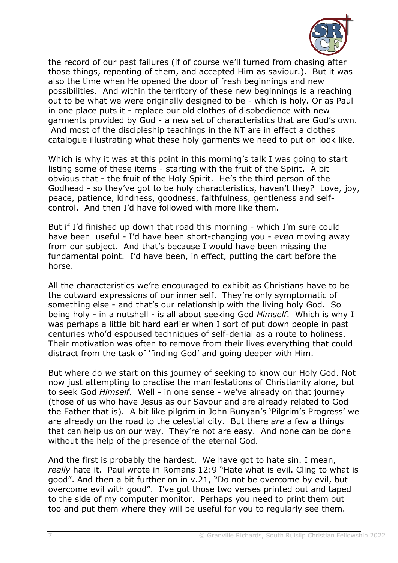

the record of our past failures (if of course we'll turned from chasing after those things, repenting of them, and accepted Him as saviour.). But it was also the time when He opened the door of fresh beginnings and new possibilities. And within the territory of these new beginnings is a reaching out to be what we were originally designed to be - which is holy. Or as Paul in one place puts it - replace our old clothes of disobedience with new garments provided by God - a new set of characteristics that are God's own. And most of the discipleship teachings in the NT are in effect a clothes catalogue illustrating what these holy garments we need to put on look like.

Which is why it was at this point in this morning's talk I was going to start listing some of these items - starting with the fruit of the Spirit. A bit obvious that - the fruit of the Holy Spirit. He's the third person of the Godhead - so they've got to be holy characteristics, haven't they? Love, joy, peace, patience, kindness, goodness, faithfulness, gentleness and selfcontrol. And then I'd have followed with more like them.

But if I'd finished up down that road this morning - which I'm sure could have been useful - I'd have been short-changing you - *even* moving away from our subject. And that's because I would have been missing the fundamental point. I'd have been, in effect, putting the cart before the horse.

All the characteristics we're encouraged to exhibit as Christians have to be the outward expressions of our inner self. They're only symptomatic of something else - and that's our relationship with the living holy God. So being holy - in a nutshell - is all about seeking God *Himself*. Which is why I was perhaps a little bit hard earlier when I sort of put down people in past centuries who'd espoused techniques of self-denial as a route to holiness. Their motivation was often to remove from their lives everything that could distract from the task of 'finding God' and going deeper with Him.

But where do *we* start on this journey of seeking to know our Holy God. Not now just attempting to practise the manifestations of Christianity alone, but to seek God *Himself*. Well - in one sense - we've already on that journey (those of us who have Jesus as our Savour and are already related to God the Father that is). A bit like pilgrim in John Bunyan's 'Pilgrim's Progress' we are already on the road to the celestial city. But there *are* a few a things that can help us on our way. They're not are easy. And none can be done without the help of the presence of the eternal God.

And the first is probably the hardest. We have got to hate sin. I mean, *really* hate it. Paul wrote in Romans 12:9 "Hate what is evil. Cling to what is good". And then a bit further on in v.21, "Do not be overcome by evil, but overcome evil with good". I've got those two verses printed out and taped to the side of my computer monitor. Perhaps you need to print them out too and put them where they will be useful for you to regularly see them.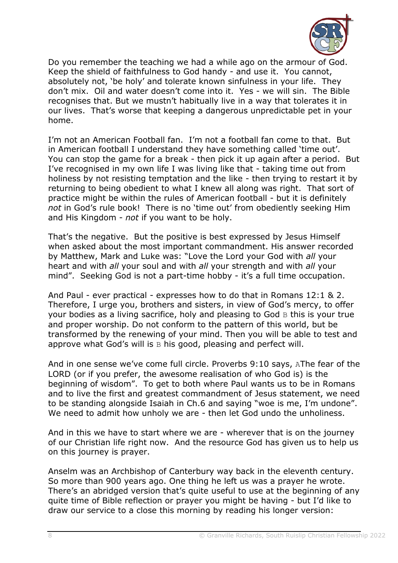

Do you remember the teaching we had a while ago on the armour of God. Keep the shield of faithfulness to God handy - and use it. You cannot, absolutely not, 'be holy' and tolerate known sinfulness in your life. They don't mix. Oil and water doesn't come into it. Yes - we will sin. The Bible recognises that. But we mustn't habitually live in a way that tolerates it in our lives. That's worse that keeping a dangerous unpredictable pet in your home.

I'm not an American Football fan. I'm not a football fan come to that. But in American football I understand they have something called 'time out'. You can stop the game for a break - then pick it up again after a period. But I've recognised in my own life I was living like that - taking time out from holiness by not resisting temptation and the like - then trying to restart it by returning to being obedient to what I knew all along was right. That sort of practice might be within the rules of American football - but it is definitely *not* in God's rule book! There is no 'time out' from obediently seeking Him and His Kingdom - *not* if you want to be holy.

That's the negative. But the positive is best expressed by Jesus Himself when asked about the most important commandment. His answer recorded by Matthew, Mark and Luke was: "Love the Lord your God with *all* your heart and with *all* your soul and with *all* your strength and with *all* your mind". Seeking God is not a part-time hobby - it's a full time occupation.

And Paul - ever practical - expresses how to do that in Romans 12:1 & 2. Therefore, I urge you, brothers and sisters, in view of God's mercy, to offer your bodies as a living sacrifice, holy and pleasing to God B this is your true and proper worship. Do not conform to the pattern of this world, but be transformed by the renewing of your mind. Then you will be able to test and approve what God's will is  $B$  his good, pleasing and perfect will.

And in one sense we've come full circle. Proverbs 9:10 says, AThe fear of the LORD (or if you prefer, the awesome realisation of who God is) is the beginning of wisdom". To get to both where Paul wants us to be in Romans and to live the first and greatest commandment of Jesus statement, we need to be standing alongside Isaiah in Ch.6 and saying "woe is me, I'm undone". We need to admit how unholy we are - then let God undo the unholiness.

And in this we have to start where we are - wherever that is on the journey of our Christian life right now. And the resource God has given us to help us on this journey is prayer.

Anselm was an Archbishop of Canterbury way back in the eleventh century. So more than 900 years ago. One thing he left us was a prayer he wrote. There's an abridged version that's quite useful to use at the beginning of any quite time of Bible reflection or prayer you might be having - but I'd like to draw our service to a close this morning by reading his longer version: